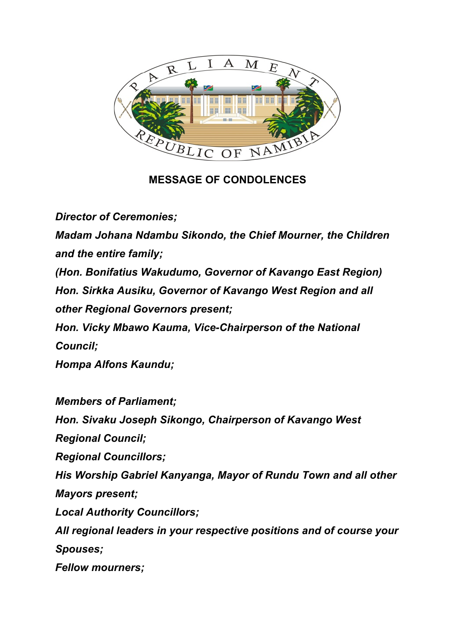

**MESSAGE OF CONDOLENCES**

*Director of Ceremonies; Madam Johana Ndambu Sikondo, the Chief Mourner, the Children and the entire family; (Hon. Bonifatius Wakudumo, Governor of Kavango East Region) Hon. Sirkka Ausiku, Governor of Kavango West Region and all other Regional Governors present; Hon. Vicky Mbawo Kauma, Vice-Chairperson of the National Council; Hompa Alfons Kaundu;*

*Members of Parliament; Hon. Sivaku Joseph Sikongo, Chairperson of Kavango West Regional Council; Regional Councillors; His Worship Gabriel Kanyanga, Mayor of Rundu Town and all other Mayors present; Local Authority Councillors; All regional leaders in your respective positions and of course your Spouses; Fellow mourners;*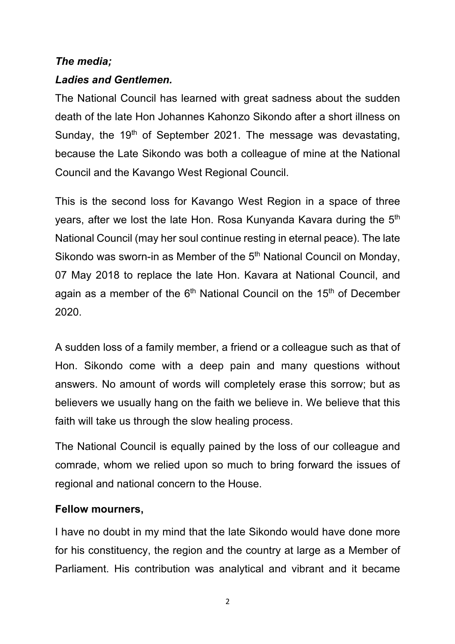## *The media;*

### *Ladies and Gentlemen.*

The National Council has learned with great sadness about the sudden death of the late Hon Johannes Kahonzo Sikondo after a short illness on Sunday, the  $19<sup>th</sup>$  of September 2021. The message was devastating, because the Late Sikondo was both a colleague of mine at the National Council and the Kavango West Regional Council.

This is the second loss for Kavango West Region in a space of three years, after we lost the late Hon. Rosa Kunyanda Kavara during the 5<sup>th</sup> National Council (may her soul continue resting in eternal peace). The late Sikondo was sworn-in as Member of the 5<sup>th</sup> National Council on Monday, 07 May 2018 to replace the late Hon. Kavara at National Council, and again as a member of the  $6<sup>th</sup>$  National Council on the 15<sup>th</sup> of December 2020.

A sudden loss of a family member, a friend or a colleague such as that of Hon. Sikondo come with a deep pain and many questions without answers. No amount of words will completely erase this sorrow; but as believers we usually hang on the faith we believe in. We believe that this faith will take us through the slow healing process.

The National Council is equally pained by the loss of our colleague and comrade, whom we relied upon so much to bring forward the issues of regional and national concern to the House.

### **Fellow mourners,**

I have no doubt in my mind that the late Sikondo would have done more for his constituency, the region and the country at large as a Member of Parliament. His contribution was analytical and vibrant and it became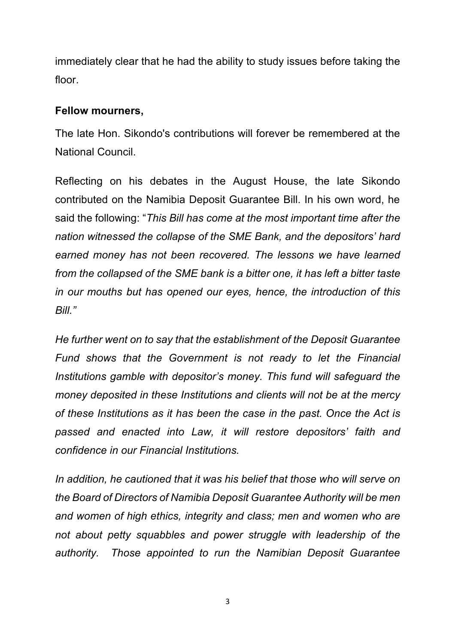immediately clear that he had the ability to study issues before taking the floor.

### **Fellow mourners,**

The late Hon. Sikondo's contributions will forever be remembered at the National Council.

Reflecting on his debates in the August House, the late Sikondo contributed on the Namibia Deposit Guarantee Bill. In his own word, he said the following: "*This Bill has come at the most important time after the nation witnessed the collapse of the SME Bank, and the depositors' hard earned money has not been recovered. The lessons we have learned from the collapsed of the SME bank is a bitter one, it has left a bitter taste in our mouths but has opened our eyes, hence, the introduction of this Bill."*

*He further went on to say that the establishment of the Deposit Guarantee Fund shows that the Government is not ready to let the Financial Institutions gamble with depositor's money. This fund will safeguard the money deposited in these Institutions and clients will not be at the mercy of these Institutions as it has been the case in the past. Once the Act is passed and enacted into Law, it will restore depositors' faith and confidence in our Financial Institutions.* 

*In addition, he cautioned that it was his belief that those who will serve on the Board of Directors of Namibia Deposit Guarantee Authority will be men and women of high ethics, integrity and class; men and women who are not about petty squabbles and power struggle with leadership of the authority. Those appointed to run the Namibian Deposit Guarantee* 

3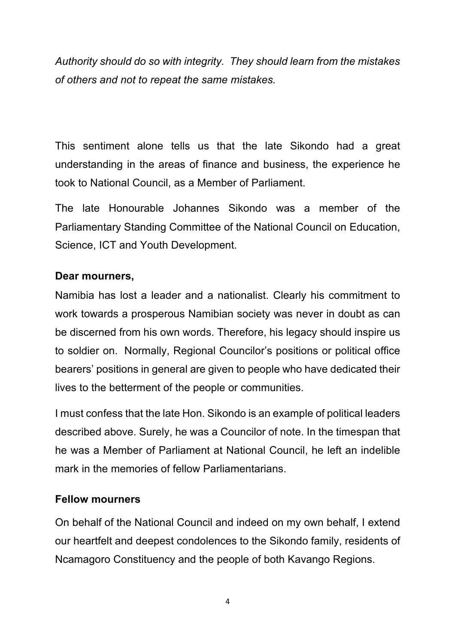*Authority should do so with integrity. They should learn from the mistakes of others and not to repeat the same mistakes.*

This sentiment alone tells us that the late Sikondo had a great understanding in the areas of finance and business, the experience he took to National Council, as a Member of Parliament.

The late Honourable Johannes Sikondo was a member of the Parliamentary Standing Committee of the National Council on Education, Science, ICT and Youth Development.

# **Dear mourners,**

Namibia has lost a leader and a nationalist. Clearly his commitment to work towards a prosperous Namibian society was never in doubt as can be discerned from his own words. Therefore, his legacy should inspire us to soldier on. Normally, Regional Councilor's positions or political office bearers' positions in general are given to people who have dedicated their lives to the betterment of the people or communities.

I must confess that the late Hon. Sikondo is an example of political leaders described above. Surely, he was a Councilor of note. In the timespan that he was a Member of Parliament at National Council, he left an indelible mark in the memories of fellow Parliamentarians.

### **Fellow mourners**

On behalf of the National Council and indeed on my own behalf, I extend our heartfelt and deepest condolences to the Sikondo family, residents of Ncamagoro Constituency and the people of both Kavango Regions.

4